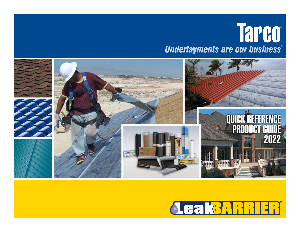# Tarco **Underlayments are our business®**



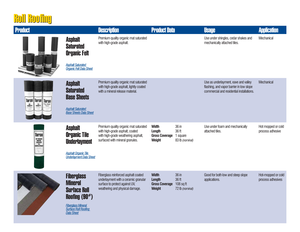#### **Roll Roofing**

. .

| <b>Product</b>                                                                              |                                                                                                                                                                | <b>Description</b>                                                                                                                                 | <b>Product Data</b>                                              |                                                  | <b>Usage</b>                                                                                                                  | <b>Application</b>                      |
|---------------------------------------------------------------------------------------------|----------------------------------------------------------------------------------------------------------------------------------------------------------------|----------------------------------------------------------------------------------------------------------------------------------------------------|------------------------------------------------------------------|--------------------------------------------------|-------------------------------------------------------------------------------------------------------------------------------|-----------------------------------------|
| <b>SQUAR</b><br><b>ILVIL<sup>I</sup></b>                                                    | <b>Asphalt</b><br><b>Saturated</b><br><b>Organic Felt</b><br><b>Asphalt Saturated</b><br><b>Organic Felt Data Sheet</b>                                        | Premium quality organic mat saturated<br>with high-grade asphalt.                                                                                  |                                                                  |                                                  | Use under shingles, cedar shakes and<br>mechanically attached tiles.                                                          | Mechanical                              |
| <b>Tarco Tarco</b><br><b>Tarco</b><br><b><i><u>Ing Shart</u></i></b><br>380018<br>$55 - 55$ | <b>Asphalt</b><br><b>Saturated</b><br><b>Base Sheets</b><br><b>Asphalt Saturated</b><br><b>Base Sheets Data Sheet</b>                                          | Premium quality organic mat saturated<br>with high-grade asphalt, lightly coated<br>with a mineral release material.                               |                                                                  |                                                  | Use as underlayment, eave and valley<br>flashing, and vapor barrier in low slope<br>commercial and residential installations. | Mechanical                              |
| <b>Tarco</b><br>W DRAWE<br>MICHAEL<br>NEBLUNG<br>NEBLUNG                                    | <b>Asphalt</b><br><b>Organic Tile</b><br><b>Underlayment</b><br><b>Asphalt Organic Tile</b><br><b>Underlayment Data Sheet</b>                                  | Premium quality organic mat saturated<br>with high-grade asphalt, coated<br>with high-grade weathering asphalt,<br>surfaced with mineral granules. | <b>Width</b><br>Length<br><b>Gross Coverage</b><br><b>Weight</b> | 36 in<br>36 ft<br>1 square<br>83 lb (nominal)    | Use under foam and mechanically<br>attached tiles.                                                                            | Hot mopped or cold<br>process adhesive  |
|                                                                                             | <b>Fiberglass</b><br><b>Mineral</b><br><b>Surface Roll</b><br>Roofing $(90#)$<br><b>Fiberglass Mineral</b><br><b>Surface Roll Roofing</b><br><b>Data Sheet</b> | Fiberglass reinforced asphalt coated<br>underlayment with a ceramic granular<br>surface to protect against UV,<br>weathering and physical damage.  | <b>Width</b><br>Length<br><b>Gross Coverage</b><br>Weight        | 36 in<br>36 ft<br>$108$ sq ft<br>72 lb (nominal) | Good for both low and steep slope<br>applications.                                                                            | Hot-mopped or cold<br>process adhesives |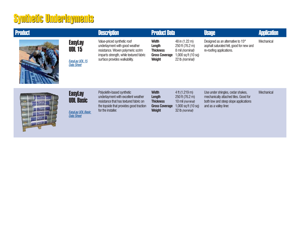# Synthetic Underlayments Synthetic Underlayments

| <b>Product</b> |                                                                               | <b>Description</b>                                                                                                                                                             | <b>Product Data</b>                                                                         |                                                                                                               | <b>Usage</b>                                                                                                                                  | <b>Application</b> |
|----------------|-------------------------------------------------------------------------------|--------------------------------------------------------------------------------------------------------------------------------------------------------------------------------|---------------------------------------------------------------------------------------------|---------------------------------------------------------------------------------------------------------------|-----------------------------------------------------------------------------------------------------------------------------------------------|--------------------|
|                | <b>EasyLay</b><br><b>UDL 15</b><br><b>EasyLay UDL 15</b><br><b>Data Sheet</b> | Value-priced synthetic roof<br>underlayment with good weather<br>resistance. Woven polymeric scrim<br>imparts strength, while textured fabric<br>surface provides walkability. | Width<br>Length<br><b>Thickness</b><br><b>Gross Coverage</b><br><b>Weight</b>               | 48 in (1.22 m)<br>250 ft (76.2 m)<br>8 mil (nominal)<br>1,000 sq ft $(10 \text{ sq})$<br>22 lb (nominal)      | Designed as an alternative to 15 <sup>#</sup><br>asphalt saturated felt, good for new and<br>re-roofing applications.                         | Mechanical         |
|                | <b>EasyLay</b><br><b>UDL Basic</b><br><b>EasyLay UDL Basic</b><br>Data Sheet  | Polyolefin-based synthetic<br>underlayment with excellent weather<br>resistance that has textured fabric on<br>the topside that provides good traction<br>for the installer.   | <b>Width</b><br><b>Length</b><br><b>Thickness</b><br><b>Gross Coverage</b><br><b>Weight</b> | $4$ ft (1.219 m)<br>$250$ ft (76.2 m)<br>10 mil (nominal)<br>1,000 sq ft $(10 \text{ sq})$<br>32 lb (nominal) | Use under shingles, cedar shakes,<br>mechanically attached tiles. Good for<br>both low and steep slope applications<br>and as a valley liner. | <b>Mechanical</b>  |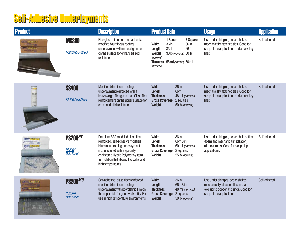# Self-Adhesive Underlayments Self-Adhesive Underlayments

| <b>Product</b>                              |                                                       | <b>Description</b>                                                                                                                                                                                                                              | <b>Product Data</b>                                                                                                                      |                                                                         | <b>Usage</b>                                                                                                                                  | <b>Application</b> |
|---------------------------------------------|-------------------------------------------------------|-------------------------------------------------------------------------------------------------------------------------------------------------------------------------------------------------------------------------------------------------|------------------------------------------------------------------------------------------------------------------------------------------|-------------------------------------------------------------------------|-----------------------------------------------------------------------------------------------------------------------------------------------|--------------------|
| <b>TELEBRATISMEN</b><br><b>THARRIER</b>     | <b>MS300</b><br><b>MS300 Data Sheet</b>               | Fiberglass reinforced, self-adhesive<br>modified bituminous roofing<br>underlayment with mineral granules<br>on the surface for enhanced skid<br>resistance.                                                                                    | 1 Square<br>36 in<br><b>Width</b><br>33 <sub>ft</sub><br>Length<br>Weight<br>(nominal)<br>Thickness 56 mil (nominal) 56 mil<br>(nominal) | 2 Square<br>36 in<br>66 ft<br>30 lb (nominal) 60 lb                     | Use under shingles, cedar shakes,<br>mechanically attached tiles. Good for<br>steep slope applications and as a valley<br>liner.              | Self-adhered       |
| $rac{1}{2}$<br><b>SS40</b><br>$\frac{1}{4}$ | <b>SS400</b><br><b>SS400 Data Sheet</b>               | Modified bituminous roofing<br>underlayment reinforced with a<br>heavyweight fiberglass mat. Glass fiber<br>reinforcement on the upper surface for<br>enhanced skid resistance.                                                                 | <b>Width</b><br>Length<br><b>Thickness</b><br><b>Gross Coverage</b><br><b>Weight</b>                                                     | 36 in<br>66 ft<br>48 mil (nominal)<br>2 squares<br>50 lb (nominal)      | Use under shingles, cedar shakes,<br>mechanically attached tiles. Good for<br>steep slope applications and as a valley<br>liner.              | Self-adhered       |
|                                             | <b>PS200HT</b><br><b>PS200HI</b><br><b>Data Sheet</b> | Premium SBS modified glass fiber<br>reinforced, self-adhesive modified<br>bituminous roofing underlayment<br>manufactured with a specially<br>engineered Hybrid Polymer System<br>formulation that allows it to withstand<br>high temperatures. | <b>Width</b><br>Length<br><b>Thickness</b><br><b>Gross Coverage</b><br>Weight                                                            | 36 in<br>66 ft 8 in<br>60 mil (nominal)<br>2 squares<br>55 lb (nominal) | Use under shingles, cedar shakes, tiles<br>(foam and mechanical installation),<br>all metal roofs. Good for steep slope<br>applications.      | Self-adhered       |
| <b>CONSARRIER</b><br><b>Leal BARRIER</b>    | PS200MU<br><b>PS200MU</b><br><b>Data Sheet</b>        | Self-adhesive, glass fiber reinforced<br>modified bituminous roofing<br>underlayment with polyolefinic film on<br>the upper side for good walkability. For<br>use in high temperature environments.                                             | <b>Width</b><br>Length<br><b>Thickness</b><br><b>Gross Coverage</b><br><b>Weight</b>                                                     | 36 in<br>66 ft 8 in<br>48 mil (nominal)<br>2 squares<br>50 lb (nominal) | Use under shingles, cedar shakes,<br>mechanically attached tiles, metal<br>(excluding copper and zinc). Good for<br>steep slope applications. | Self-adhered       |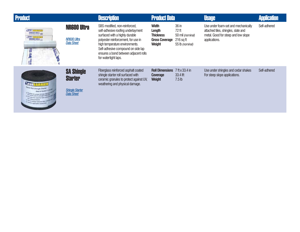| <b>Product</b>                                                                                    |                                                                                    | <b>Description</b>                                                                                                                                                                                                                                                                    | <b>Product Data</b>                                                                  |                                                                      | <b>Usage</b>                                                                                                                       | <b>Application</b> |
|---------------------------------------------------------------------------------------------------|------------------------------------------------------------------------------------|---------------------------------------------------------------------------------------------------------------------------------------------------------------------------------------------------------------------------------------------------------------------------------------|--------------------------------------------------------------------------------------|----------------------------------------------------------------------|------------------------------------------------------------------------------------------------------------------------------------|--------------------|
| <b>AraksARRIER</b><br>NR600 Ultra<br><b>AmiBARBIER</b><br>NR600 Ultra<br>Ē<br>-le                 | <b>NR600 Ultra</b><br><b>NR600 Ultra</b><br><b>Data Sheet</b>                      | SBS modified, non-reinforced,<br>self-adhesive roofing underlayment<br>surfaced with a highly durable<br>polyester reinforcement, for use in<br>high temperature environments.<br>Self-adhesive compound on side lap<br>ensures a bond between adjacent rolls<br>for watertight laps. | <b>Width</b><br>Length<br><b>Thickness</b><br><b>Gross Coverage</b><br><b>Weight</b> | 36 in<br>72 ft<br>50 mil (nominal)<br>$216$ sq ft<br>55 lb (nominal) | Use under foam-set and mechanically<br>attached tiles, shingles, slate and<br>metal. Good for steep and low slope<br>applications. | Self-adhered       |
| <b>Quick Roll Shingle Starter</b><br>Easy to Nandy 7' 1 30 to<br><b>Order spelmston agent for</b> | <b>SA Shingle</b><br><b>Starter</b><br><b>Shingle Starter</b><br><b>Data Sheet</b> | Fiberglass reinforced asphalt coated<br>shingle starter roll surfaced with<br>ceramic granules to protect against UV,<br>weathering and physical damage.                                                                                                                              | <b>Roll Dimensions</b><br><b>Coverage</b><br><b>Weight</b>                           | 7 ft x 33.4 in<br>33.4 lft<br>7.5 <sub>lb</sub>                      | Use under shingles and cedar shakes<br>For steep slope applications.                                                               | Self-adhered       |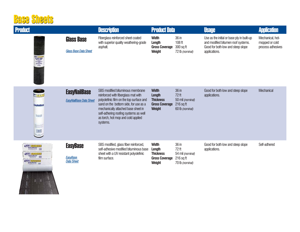#### **Base Sheets**

| <b>Product</b>                                                          |                                                         | <b>Description</b>                                                                                                                                                                                                                                                                             | <b>Product Data</b>                                                                         |                                                                        | <b>Usage</b>                                                                                                                           | <b>Application</b>                                      |
|-------------------------------------------------------------------------|---------------------------------------------------------|------------------------------------------------------------------------------------------------------------------------------------------------------------------------------------------------------------------------------------------------------------------------------------------------|---------------------------------------------------------------------------------------------|------------------------------------------------------------------------|----------------------------------------------------------------------------------------------------------------------------------------|---------------------------------------------------------|
| 115                                                                     | <b>Glass Base</b><br><b>Glass Base Data Sheet</b>       | Fiberglass reinforced sheet coated<br>with superior quality weathering-grade<br>asphalt.                                                                                                                                                                                                       | <b>Width</b><br>Length<br><b>Gross Coverage</b><br><b>Weight</b>                            | 36 in<br>108 <sub>ft</sub><br>300 sq ft<br>72 lb (nominal)             | Use as the initial or base ply in built-up<br>and modified bitumen roof systems.<br>Good for both low and steep slope<br>applications. | Mechanical, hot-<br>mopped or cold<br>process adhesives |
| akanaa<br><b>Lasylvaniassi</b><br><b>Number</b><br>E<br>$\Box$<br>$-11$ | <b>EasyNailBase</b><br><b>EasyNailBase Data Sheet</b>   | SBS modified bituminous membrane<br>reinforced with fiberglass mat with<br>polyolefinic film on the top surface and<br>sand on the bottom side, for use as a<br>mechanically attached base sheet in<br>self-adhering roofing systems as well<br>as torch, hot mop and cold applied<br>systems. | <b>Width</b><br><b>Length</b><br><b>Thickness</b><br><b>Gross Coverage</b><br><b>Weight</b> | 36 in<br>$72$ ft<br>50 mil (nominal)<br>$216$ sq ft<br>60 lb (nominal) | Good for both low and steep slope<br>applications.                                                                                     | Mechanical                                              |
| <b>ALENGARRIER</b><br>August 1941                                       | <b>EasyBase</b><br><b>EasyBase</b><br><b>Data Sheet</b> | SBS modified, glass fiber reinforced,<br>self-adhesive modified bituminous base<br>sheet with a UV resistant polyolefinic<br>film surface.                                                                                                                                                     | <b>Width</b><br>Length<br><b>Thickness</b><br><b>Gross Coverage</b><br><b>Weight</b>        | 36 in<br>72 ft<br>54 mil (nominal)<br>$216$ sq ft<br>70 lb (nominal)   | Good for both low and steep slope<br>applications.                                                                                     | Self-adhered                                            |

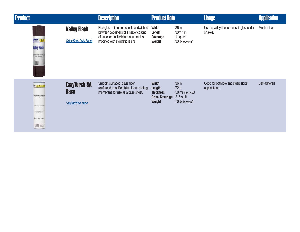| <b>Product</b>                                                                                                  |                                                                | <b>Description</b>                                                                                                                                          | <b>Product Data</b>                                                                  |                                                                        | <b>Usage</b>                                         | <b>Application</b> |
|-----------------------------------------------------------------------------------------------------------------|----------------------------------------------------------------|-------------------------------------------------------------------------------------------------------------------------------------------------------------|--------------------------------------------------------------------------------------|------------------------------------------------------------------------|------------------------------------------------------|--------------------|
| <b>LeakBAR</b><br><b>Valley Flash</b><br><b>Resustrated Bank</b>                                                | <b>Valley Flash</b><br><b>Valley Flash Data Sheet</b>          | Fiberglass reinforced sheet sandwiched<br>between two layers of a heavy coating<br>of superior quality bituminous resins<br>modified with synthetic resins. | <b>Width</b><br>Length<br><b>Coverage</b><br><b>Weight</b>                           | 36 in<br>33 ft 4 in<br>1 square<br>33 lb (nominal)                     | Use as valley liner under shingles, cedar<br>shakes. | Mechanical         |
| <b>BIGARRI</b><br>la Turch <sup>en</sup> SA Ba<br><b>Now of funerall</b><br>The arts as at 145<br>4. 0 35<br>阿萨 | <b>EasyTorch SA</b><br><b>Base</b><br><b>EasyTorch SA Base</b> | Smooth surfaced, glass fiber<br>reinforced, modified bituminous roofing<br>membrane for use as a base sheet.                                                | <b>Width</b><br>Length<br><b>Thickness</b><br><b>Gross Coverage</b><br><b>Weight</b> | 36 in<br>$72$ ft<br>50 mil (nominal)<br>$216$ sq ft<br>70 lb (nominal) | Good for both low and steep slope<br>applications.   | Self-adhered       |